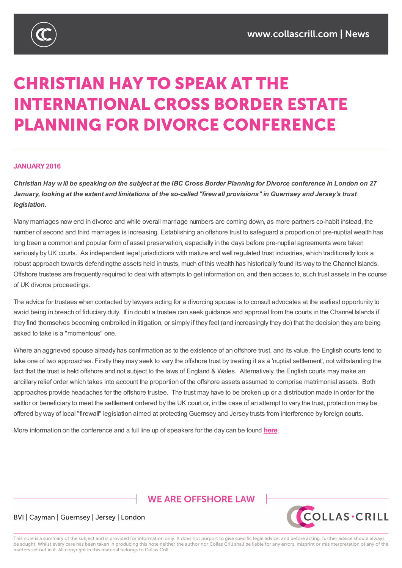

# **CHRISTIAN HAY TO SPEAK AT THE INTERNATIONAL CROSS BORDER ESTATE PLANNING FOR DIVORCE CONFERENCE**

## **JANUARY2016**

Christian Hay will be speaking on the subject at the IBC Cross Border Planning for Divorce conference in London on 27 January, looking at the extent and limitations of the so-called "firew all provisions" in Guernsey and Jersey's trust *legislation.*

Many marriages now end in divorce and while overall marriage numbers are coming down, as more partners co-habit instead, the number of second and third marriages is increasing. Establishing an offshore trust to safeguard a proportion of pre-nuptial wealth has long been a common and popular form of asset preservation, especially in the days before pre-nuptial agreements were taken seriously by UK courts. As independent legal jurisdictions with mature and well regulated trust industries, which traditionally took a robust approach towards defendingthe assets held in trusts, much of this wealth has historically found its way to the Channel Islands. Offshore trustees are frequently required to deal with attempts to get information on, and then access to, such trust assets in the course of UK divorce proceedings.

The advice for trustees when contacted by lawyers acting for a divorcing spouse is to consult advocates at the earliest opportunity to avoid being in breach of fiduciary duty. If in doubt a trustee can seek guidance and approval from the courts in the Channel Islands if they find themselves becoming embroiled in litigation, or simply if they feel (and increasingly they do) that the decision they are being asked to take is a "momentous" one.

Where an aggrieved spouse already has confirmation as to the existence of an offshore trust, and its value, the English courts tend to take one of two approaches. Firstly they may seek to vary the offshore trust by treating it as a 'nuptial settlement', not withstanding the fact that the trust is held offshore and not subject to the laws of England & Wales. Alternatively, the English courts may make an ancillary relief order which takes into account the proportion of the offshore assets assumed to comprise matrimonial assets. Both approaches provide headaches for the offshore trustee. The trust may have to be broken up or a distribution made in order for the settlor or beneficiary to meet the settlement ordered by the UK court or, in the case of an attempt to vary the trust, protection may be offered by way of local "firewall" legislation aimed at protecting Guernsey and Jersey trusts from interference by foreign courts.

More information on the conference and a full line up of speakers for the day can be found **here**.

# **WE ARE OFFSHORE LAW**



## BVI | Cayman | Guernsey | Jersey | London

This note is a summary of the subject and is provided for information only. It does not purport to give specific legal advice, and before acting, further advice should always be sought. Whilst every care has been taken in producing this note neither the author nor Collas Crill shall be liable for any errors, misprint or misinterpretation of any of the matters set out in it. All copyright in this material belongs to Collas Crill.